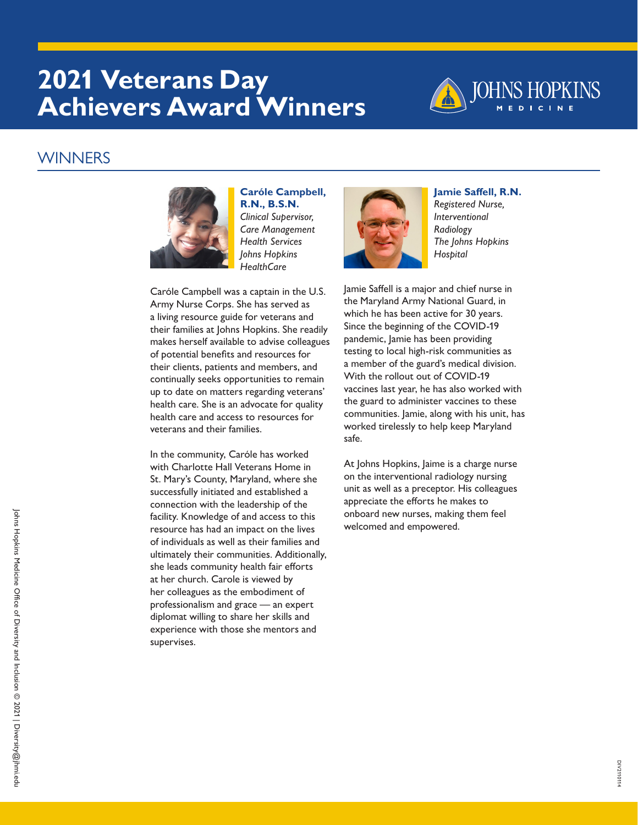## **2021 Veterans Day Achievers Award Winners**



#### WINNERS



**Caróle Campbell, R.N., B.S.N.** *Clinical Supervisor, Care Management Health Services Johns Hopkins HealthCare*

Caróle Campbell was a captain in the U.S. Army Nurse Corps. She has served as a living resource guide for veterans and their families at Johns Hopkins. She readily makes herself available to advise colleagues of potential benefits and resources for their clients, patients and members, and continually seeks opportunities to remain up to date on matters regarding veterans' health care. She is an advocate for quality health care and access to resources for veterans and their families.

In the community, Caróle has worked with Charlotte Hall Veterans Home in St. Mary's County, Maryland, where she successfully initiated and established a connection with the leadership of the facility. Knowledge of and access to this resource has had an impact on the lives of individuals as well as their families and ultimately their communities. Additionally, she leads community health fair efforts at her church. Carole is viewed by her colleagues as the embodiment of professionalism and grace — an expert diplomat willing to share her skills and experience with those she mentors and supervises.



**Jamie Saffell, R.N.** *Registered Nurse, Interventional Radiology The Johns Hopkins Hospital*

Jamie Saffell is a major and chief nurse in the Maryland Army National Guard, in which he has been active for 30 years. Since the beginning of the COVID-19 pandemic, Jamie has been providing testing to local high-risk communities as a member of the guard's medical division. With the rollout out of COVID-19 vaccines last year, he has also worked with the guard to administer vaccines to these communities. Jamie, along with his unit, has worked tirelessly to help keep Maryland safe.

At Johns Hopkins, Jaime is a charge nurse on the interventional radiology nursing unit as well as a preceptor. His colleagues appreciate the efforts he makes to onboard new nurses, making them feel welcomed and empowered.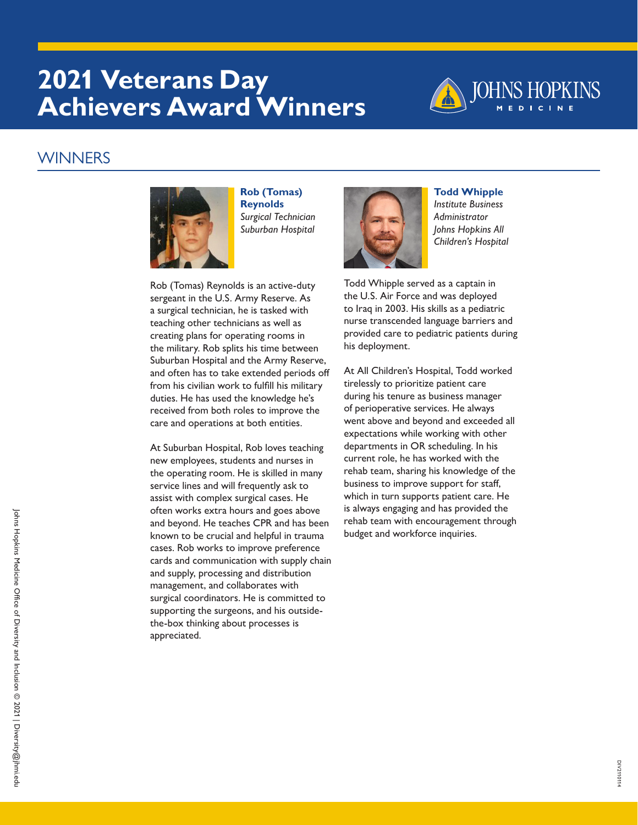# **2021 Veterans Day Achievers Award Winners**



### WINNERS



**Rob (Tomas) Reynolds** *Surgical Technician Suburban Hospital*

Rob (Tomas) Reynolds is an active-duty sergeant in the U.S. Army Reserve. As a surgical technician, he is tasked with teaching other technicians as well as creating plans for operating rooms in the military. Rob splits his time between Suburban Hospital and the Army Reserve, and often has to take extended periods off from his civilian work to fulfill his military duties. He has used the knowledge he's received from both roles to improve the care and operations at both entities.

At Suburban Hospital, Rob loves teaching new employees, students and nurses in the operating room. He is skilled in many service lines and will frequently ask to assist with complex surgical cases. He often works extra hours and goes above and beyond. He teaches CPR and has been known to be crucial and helpful in trauma cases. Rob works to improve preference cards and communication with supply chain and supply, processing and distribution management, and collaborates with surgical coordinators. He is committed to supporting the surgeons, and his outsidethe-box thinking about processes is appreciated.



**Todd Whipple** *Institute Business Administrator Johns Hopkins All Children's Hospital*

Todd Whipple served as a captain in the U.S. Air Force and was deployed to Iraq in 2003. His skills as a pediatric nurse transcended language barriers and provided care to pediatric patients during his deployment.

At All Children's Hospital, Todd worked tirelessly to prioritize patient care during his tenure as business manager of perioperative services. He always went above and beyond and exceeded all expectations while working with other departments in OR scheduling. In his current role, he has worked with the rehab team, sharing his knowledge of the business to improve support for staff, which in turn supports patient care. He is always engaging and has provided the rehab team with encouragement through budget and workforce inquiries.